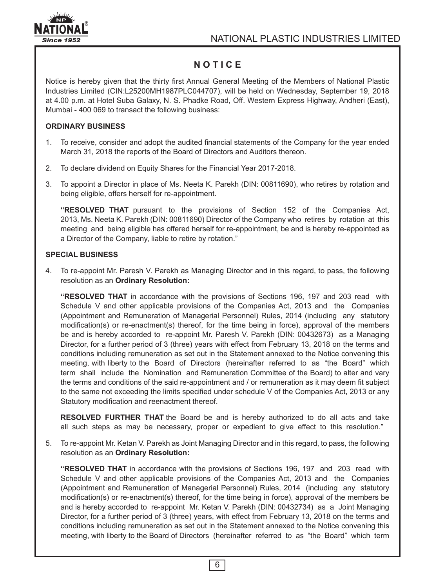

# **N O T I C E**

Notice is hereby given that the thirty first Annual General Meeting of the Members of National Plastic Industries Limited (CIN:L25200MH1987PLC044707), will be held on Wednesday, September 19, 2018 at 4.00 p.m. at Hotel Suba Galaxy, N. S. Phadke Road, Off. Western Express Highway, Andheri (East), Mumbai - 400 069 to transact the following business:

# **ORDINARY BUSINESS**

- 1. To receive, consider and adopt the audited financial statements of the Company for the year ended March 31, 2018 the reports of the Board of Directors and Auditors thereon.
- 2. To declare dividend on Equity Shares for the Financial Year 2017-2018.
- 3. To appoint a Director in place of Ms. Neeta K. Parekh (DIN: 00811690), who retires by rotation and being eligible, offers herself for re-appointment.

**"RESOLVED THAT** pursuant to the provisions of Section 152 of the Companies Act, 2013, Ms. Neeta K. Parekh (DIN: 00811690) Director of the Company who retires by rotation at this meeting and being eligible has offered herself for re-appointment, be and is hereby re-appointed as a Director of the Company, liable to retire by rotation."

### **SPECIAL BUSINESS**

4. To re-appoint Mr. Paresh V. Parekh as Managing Director and in this regard, to pass, the following resolution as an **Ordinary Resolution:**

**"RESOLVED THAT** in accordance with the provisions of Sections 196, 197 and 203 read with Schedule V and other applicable provisions of the Companies Act, 2013 and the Companies (Appointment and Remuneration of Managerial Personnel) Rules, 2014 (including any statutory modification(s) or re-enactment(s) thereof, for the time being in force), approval of the members be and is hereby accorded to re-appoint Mr. Paresh V. Parekh (DIN: 00432673) as a Managing Director, for a further period of 3 (three) years with effect from February 13, 2018 on the terms and conditions including remuneration as set out in the Statement annexed to the Notice convening this meeting, with liberty to the Board of Directors (hereinafter referred to as "the Board" which term shall include the Nomination and Remuneration Committee of the Board) to alter and vary the terms and conditions of the said re-appointment and / or remuneration as it may deem fit subject to the same not exceeding the limits specified under schedule V of the Companies Act, 2013 or any Statutory modification and reenactment thereof.

**RESOLVED FURTHER THAT** the Board be and is hereby authorized to do all acts and take all such steps as may be necessary, proper or expedient to give effect to this resolution."

5. To re-appoint Mr. Ketan V. Parekh as Joint Managing Director and in this regard, to pass, the following resolution as an **Ordinary Resolution:**

**"RESOLVED THAT** in accordance with the provisions of Sections 196, 197 and 203 read with Schedule V and other applicable provisions of the Companies Act, 2013 and the Companies (Appointment and Remuneration of Managerial Personnel) Rules, 2014 (including any statutory modification(s) or re-enactment(s) thereof, for the time being in force), approval of the members be and is hereby accorded to re-appoint Mr. Ketan V. Parekh (DIN: 00432734) as a Joint Managing Director, for a further period of 3 (three) years, with effect from February 13, 2018 on the terms and conditions including remuneration as set out in the Statement annexed to the Notice convening this meeting, with liberty to the Board of Directors (hereinafter referred to as "the Board" which term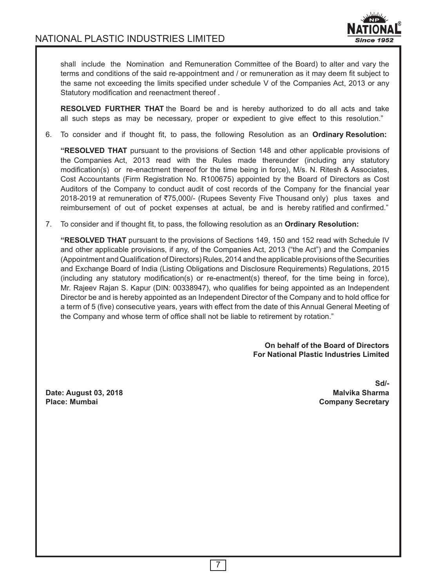

shall include the Nomination and Remuneration Committee of the Board) to alter and vary the terms and conditions of the said re-appointment and / or remuneration as it may deem fit subject to the same not exceeding the limits specified under schedule V of the Companies Act, 2013 or any Statutory modification and reenactment thereof .

**RESOLVED FURTHER THAT** the Board be and is hereby authorized to do all acts and take all such steps as may be necessary, proper or expedient to give effect to this resolution."

6. To consider and if thought fit, to pass, the following Resolution as an **Ordinary Resolution:**

**"RESOLVED THAT** pursuant to the provisions of Section 148 and other applicable provisions of the Companies Act, 2013 read with the Rules made thereunder (including any statutory modification(s) or re-enactment thereof for the time being in force), M/s. N. Ritesh & Associates, Cost Accountants (Firm Registration No. R100675) appointed by the Board of Directors as Cost Auditors of the Company to conduct audit of cost records of the Company for the financial year 2018-2019 at remuneration of  $\overline{575,000}$ /- (Rupees Seventy Five Thousand only) plus taxes and reimbursement of out of pocket expenses at actual, be and is hereby ratified and confirmed."

7. To consider and if thought fit, to pass, the following resolution as an **Ordinary Resolution:**

**"RESOLVED THAT** pursuant to the provisions of Sections 149, 150 and 152 read with Schedule IV and other applicable provisions, if any, of the Companies Act, 2013 ("the Act") and the Companies (Appointment and Qualification of Directors) Rules, 2014 and the applicable provisions of the Securities and Exchange Board of India (Listing Obligations and Disclosure Requirements) Regulations, 2015 (including any statutory modification(s) or re-enactment(s) thereof, for the time being in force), Mr. Rajeev Rajan S. Kapur (DIN: 00338947), who qualifies for being appointed as an Independent Director be and is hereby appointed as an Independent Director of the Company and to hold office for a term of 5 (five) consecutive years, years with effect from the date of this Annual General Meeting of the Company and whose term of office shall not be liable to retirement by rotation."

> **On behalf of the Board of Directors For National Plastic Industries Limited**

**Date: August 03, 2018 Place: Mumbai Company Secretary**

**Sd/-**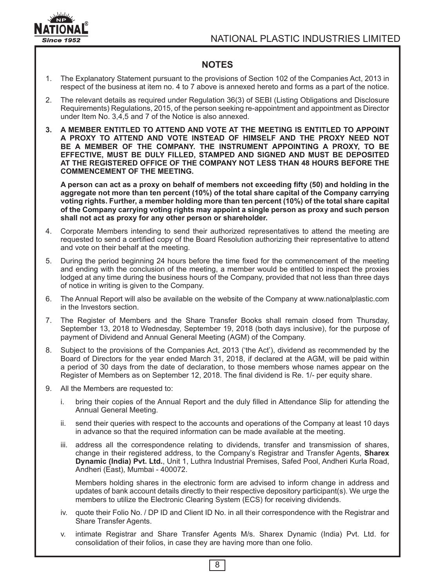

# **NOTES**

- 1. The Explanatory Statement pursuant to the provisions of Section 102 of the Companies Act, 2013 in respect of the business at item no. 4 to 7 above is annexed hereto and forms as a part of the notice.
- 2. The relevant details as required under Regulation 36(3) of SEBI (Listing Obligations and Disclosure Requirements) Regulations, 2015, of the person seeking re-appointment and appointment as Director under Item No. 3,4,5 and 7 of the Notice is also annexed.
- **3. A MEMBER ENTITLED TO ATTEND AND VOTE AT THE MEETING IS ENTITLED TO APPOINT A PROXY TO ATTEND AND VOTE INSTEAD OF HIMSELF AND THE PROXY NEED NOT BE A MEMBER OF THE COMPANY. THE INSTRUMENT APPOINTING A PROXY, TO BE EFFECTIVE, MUST BE DULY FILLED, STAMPED AND SIGNED AND MUST BE DEPOSITED AT THE REGISTERED OFFICE OF THE COMPANY NOT LESS THAN 48 HOURS BEFORE THE COMMENCEMENT OF THE MEETING.**

**A person can act as a proxy on behalf of members not exceeding fifty (50) and holding in the aggregate not more than ten percent (10%) of the total share capital of the Company carrying voting rights. Further, a member holding more than ten percent (10%) of the total share capital of the Company carrying voting rights may appoint a single person as proxy and such person shall not act as proxy for any other person or shareholder.**

- 4. Corporate Members intending to send their authorized representatives to attend the meeting are requested to send a certified copy of the Board Resolution authorizing their representative to attend and vote on their behalf at the meeting.
- 5. During the period beginning 24 hours before the time fixed for the commencement of the meeting and ending with the conclusion of the meeting, a member would be entitled to inspect the proxies lodged at any time during the business hours of the Company, provided that not less than three days of notice in writing is given to the Company.
- 6. The Annual Report will also be available on the website of the Company at www.nationalplastic.com in the Investors section.
- 7. The Register of Members and the Share Transfer Books shall remain closed from Thursday, September 13, 2018 to Wednesday, September 19, 2018 (both days inclusive), for the purpose of payment of Dividend and Annual General Meeting (AGM) of the Company.
- 8. Subject to the provisions of the Companies Act, 2013 ('the Act'), dividend as recommended by the Board of Directors for the year ended March 31, 2018, if declared at the AGM, will be paid within a period of 30 days from the date of declaration, to those members whose names appear on the Register of Members as on September 12, 2018. The final dividend is Re. 1/- per equity share.
- 9. All the Members are requested to:
	- i. bring their copies of the Annual Report and the duly filled in Attendance Slip for attending the Annual General Meeting.
	- ii. send their queries with respect to the accounts and operations of the Company at least 10 days in advance so that the required information can be made available at the meeting.
	- iii. address all the correspondence relating to dividends, transfer and transmission of shares, change in their registered address, to the Company's Registrar and Transfer Agents, **Sharex Dynamic (India) Pvt. Ltd.**, Unit 1, Luthra Industrial Premises, Safed Pool, Andheri Kurla Road, Andheri (East), Mumbai - 400072.

Members holding shares in the electronic form are advised to inform change in address and updates of bank account details directly to their respective depository participant(s). We urge the members to utilize the Electronic Clearing System (ECS) for receiving dividends.

- iv. quote their Folio No. / DP ID and Client ID No. in all their correspondence with the Registrar and Share Transfer Agents.
- v. intimate Registrar and Share Transfer Agents M/s. Sharex Dynamic (India) Pvt. Ltd. for consolidation of their folios, in case they are having more than one folio.

8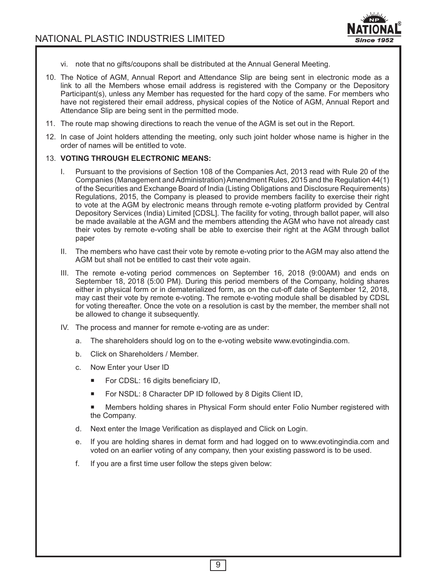

- vi. note that no gifts/coupons shall be distributed at the Annual General Meeting.
- 10. The Notice of AGM, Annual Report and Attendance Slip are being sent in electronic mode as a link to all the Members whose email address is registered with the Company or the Depository Participant(s), unless any Member has requested for the hard copy of the same. For members who have not registered their email address, physical copies of the Notice of AGM, Annual Report and Attendance Slip are being sent in the permitted mode.
- 11. The route map showing directions to reach the venue of the AGM is set out in the Report.
- 12. In case of Joint holders attending the meeting, only such joint holder whose name is higher in the order of names will be entitled to vote.

#### 13. **VOTING THROUGH ELECTRONIC MEANS:**

- I. Pursuant to the provisions of Section 108 of the Companies Act, 2013 read with Rule 20 of the Companies (Management and Administration) Amendment Rules, 2015 and the Regulation 44(1) of the Securities and Exchange Board of India (Listing Obligations and Disclosure Requirements) Regulations, 2015, the Company is pleased to provide members facility to exercise their right to vote at the AGM by electronic means through remote e-voting platform provided by Central Depository Services (India) Limited [CDSL]. The facility for voting, through ballot paper, will also be made available at the AGM and the members attending the AGM who have not already cast their votes by remote e-voting shall be able to exercise their right at the AGM through ballot paper
- II. The members who have cast their vote by remote e-voting prior to the AGM may also attend the AGM but shall not be entitled to cast their vote again.
- III. The remote e-voting period commences on September 16, 2018 (9:00AM) and ends on September 18, 2018 (5:00 PM). During this period members of the Company, holding shares either in physical form or in dematerialized form, as on the cut-off date of September 12, 2018, may cast their vote by remote e-voting. The remote e-voting module shall be disabled by CDSL for voting thereafter. Once the vote on a resolution is cast by the member, the member shall not be allowed to change it subsequently.
- IV. The process and manner for remote e-voting are as under:
	- a. The shareholders should log on to the e-voting website www.evotingindia.com.
	- b. Click on Shareholders / Member.
	- c. Now Enter your User ID
		- For CDSL: 16 digits beneficiary ID,
		- For NSDL: 8 Character DP ID followed by 8 Digits Client ID,
		- Members holding shares in Physical Form should enter Folio Number registered with the Company.
	- d. Next enter the Image Verification as displayed and Click on Login.
	- e. If you are holding shares in demat form and had logged on to www.evotingindia.com and voted on an earlier voting of any company, then your existing password is to be used.
	- f. If you are a first time user follow the steps given below: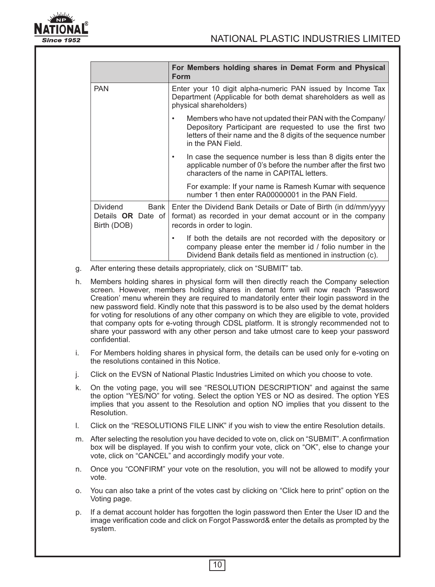

|                                                             |      | For Members holding shares in Demat Form and Physical<br><b>Form</b>                                                                                                                                             |
|-------------------------------------------------------------|------|------------------------------------------------------------------------------------------------------------------------------------------------------------------------------------------------------------------|
| <b>PAN</b>                                                  |      | Enter your 10 digit alpha-numeric PAN issued by Income Tax<br>Department (Applicable for both demat shareholders as well as<br>physical shareholders)                                                            |
|                                                             |      | Members who have not updated their PAN with the Company/<br>٠<br>Depository Participant are requested to use the first two<br>letters of their name and the 8 digits of the sequence number<br>in the PAN Field. |
|                                                             |      | In case the sequence number is less than 8 digits enter the<br>٠<br>applicable number of 0's before the number after the first two<br>characters of the name in CAPITAL letters.                                 |
|                                                             |      | For example: If your name is Ramesh Kumar with sequence<br>number 1 then enter RA00000001 in the PAN Field.                                                                                                      |
| <b>Dividend</b><br>Details <b>OR</b> Date of<br>Birth (DOB) | Bank | Enter the Dividend Bank Details or Date of Birth (in dd/mm/yyyy<br>format) as recorded in your demat account or in the company<br>records in order to login.                                                     |
|                                                             |      | If both the details are not recorded with the depository or<br>company please enter the member id / folio number in the<br>Dividend Bank details field as mentioned in instruction (c).                          |

- g. After entering these details appropriately, click on "SUBMIT" tab.
- h. Members holding shares in physical form will then directly reach the Company selection screen. However, members holding shares in demat form will now reach 'Password Creation' menu wherein they are required to mandatorily enter their login password in the new password field. Kindly note that this password is to be also used by the demat holders for voting for resolutions of any other company on which they are eligible to vote, provided that company opts for e-voting through CDSL platform. It is strongly recommended not to share your password with any other person and take utmost care to keep your password confidential.
- i. For Members holding shares in physical form, the details can be used only for e-voting on the resolutions contained in this Notice.
- j. Click on the EVSN of National Plastic Industries Limited on which you choose to vote.
- k. On the voting page, you will see "RESOLUTION DESCRIPTION" and against the same the option "YES/NO" for voting. Select the option YES or NO as desired. The option YES implies that you assent to the Resolution and option NO implies that you dissent to the Resolution.
- l. Click on the "RESOLUTIONS FILE LINK" if you wish to view the entire Resolution details.
- m. After selecting the resolution you have decided to vote on, click on "SUBMIT". A confirmation box will be displayed. If you wish to confirm your vote, click on "OK", else to change your vote, click on "CANCEL" and accordingly modify your vote.
- n. Once you "CONFIRM" your vote on the resolution, you will not be allowed to modify your vote.
- o. You can also take a print of the votes cast by clicking on "Click here to print" option on the Voting page.
- p. If a demat account holder has forgotten the login password then Enter the User ID and the image verification code and click on Forgot Password& enter the details as prompted by the system.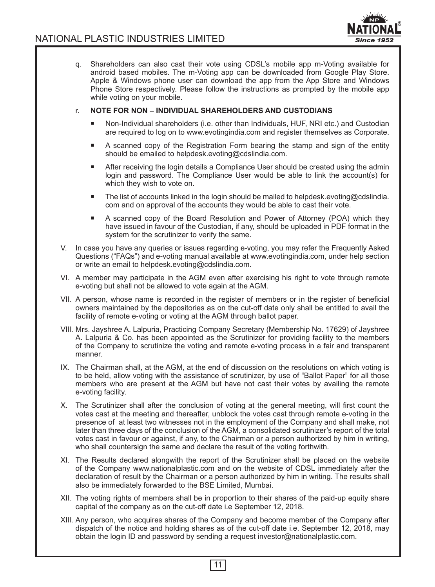

q. Shareholders can also cast their vote using CDSL's mobile app m-Voting available for android based mobiles. The m-Voting app can be downloaded from Google Play Store. Apple & Windows phone user can download the app from the App Store and Windows Phone Store respectively. Please follow the instructions as prompted by the mobile app while voting on your mobile.

#### r. **NOTE FOR NON – INDIVIDUAL SHAREHOLDERS AND CUSTODIANS**

- Non-Individual shareholders (i.e. other than Individuals, HUF, NRI etc.) and Custodian are required to log on to www.evotingindia.com and register themselves as Corporate.
- A scanned copy of the Registration Form bearing the stamp and sign of the entity should be emailed to helpdesk.evoting@cdslindia.com.
- After receiving the login details a Compliance User should be created using the admin login and password. The Compliance User would be able to link the account(s) for which they wish to vote on.
- The list of accounts linked in the login should be mailed to helpdesk.evoting@cdslindia. com and on approval of the accounts they would be able to cast their vote.
- A scanned copy of the Board Resolution and Power of Attorney (POA) which they have issued in favour of the Custodian, if any, should be uploaded in PDF format in the system for the scrutinizer to verify the same.
- V. In case you have any queries or issues regarding e-voting, you may refer the Frequently Asked Questions ("FAQs") and e-voting manual available at www.evotingindia.com, under help section or write an email to helpdesk.evoting@cdslindia.com.
- VI. A member may participate in the AGM even after exercising his right to vote through remote e-voting but shall not be allowed to vote again at the AGM.
- VII. A person, whose name is recorded in the register of members or in the register of beneficial owners maintained by the depositories as on the cut-off date only shall be entitled to avail the facility of remote e-voting or voting at the AGM through ballot paper.
- VIII. Mrs. Jayshree A. Lalpuria, Practicing Company Secretary (Membership No. 17629) of Jayshree A. Lalpuria & Co. has been appointed as the Scrutinizer for providing facility to the members of the Company to scrutinize the voting and remote e-voting process in a fair and transparent manner.
- IX. The Chairman shall, at the AGM, at the end of discussion on the resolutions on which voting is to be held, allow voting with the assistance of scrutinizer, by use of "Ballot Paper" for all those members who are present at the AGM but have not cast their votes by availing the remote e-voting facility.
- X. The Scrutinizer shall after the conclusion of voting at the general meeting, will first count the votes cast at the meeting and thereafter, unblock the votes cast through remote e-voting in the presence of at least two witnesses not in the employment of the Company and shall make, not later than three days of the conclusion of the AGM, a consolidated scrutinizer's report of the total votes cast in favour or against, if any, to the Chairman or a person authorized by him in writing, who shall countersign the same and declare the result of the voting forthwith.
- XI. The Results declared alongwith the report of the Scrutinizer shall be placed on the website of the Company www.nationalplastic.com and on the website of CDSL immediately after the declaration of result by the Chairman or a person authorized by him in writing. The results shall also be immediately forwarded to the BSE Limited, Mumbai.
- XII. The voting rights of members shall be in proportion to their shares of the paid-up equity share capital of the company as on the cut-off date i.e September 12, 2018.
- XIII. Any person, who acquires shares of the Company and become member of the Company after dispatch of the notice and holding shares as of the cut-off date i.e. September 12, 2018, may obtain the login ID and password by sending a request investor@nationalplastic.com.

11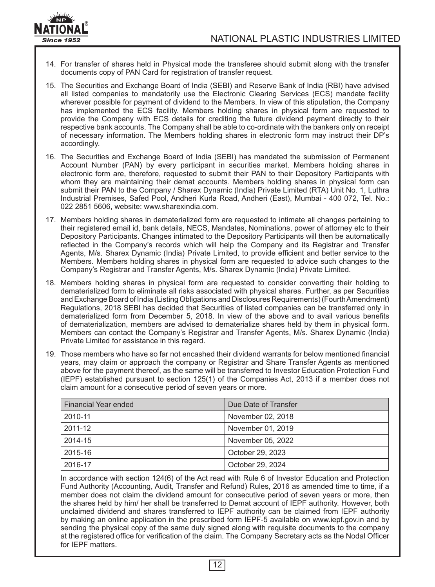

- 14. For transfer of shares held in Physical mode the transferee should submit along with the transfer documents copy of PAN Card for registration of transfer request.
- 15. The Securities and Exchange Board of India (SEBI) and Reserve Bank of India (RBI) have advised all listed companies to mandatorily use the Electronic Clearing Services (ECS) mandate facility wherever possible for payment of dividend to the Members. In view of this stipulation, the Company has implemented the ECS facility. Members holding shares in physical form are requested to provide the Company with ECS details for crediting the future dividend payment directly to their respective bank accounts. The Company shall be able to co-ordinate with the bankers only on receipt of necessary information. The Members holding shares in electronic form may instruct their DP's accordingly.
- 16. The Securities and Exchange Board of India (SEBI) has mandated the submission of Permanent Account Number (PAN) by every participant in securities market. Members holding shares in electronic form are, therefore, requested to submit their PAN to their Depository Participants with whom they are maintaining their demat accounts. Members holding shares in physical form can submit their PAN to the Company / Sharex Dynamic (India) Private Limited (RTA) Unit No. 1, Luthra Industrial Premises, Safed Pool, Andheri Kurla Road, Andheri (East), Mumbai - 400 072, Tel. No.: 022 2851 5606, website: www.sharexindia.com.
- 17. Members holding shares in dematerialized form are requested to intimate all changes pertaining to their registered email id, bank details, NECS, Mandates, Nominations, power of attorney etc to their Depository Participants. Changes intimated to the Depository Participants will then be automatically reflected in the Company's records which will help the Company and its Registrar and Transfer Agents, M/s. Sharex Dynamic (India) Private Limited, to provide efficient and better service to the Members. Members holding shares in physical form are requested to advice such changes to the Company's Registrar and Transfer Agents, M/s. Sharex Dynamic (India) Private Limited.
- 18. Members holding shares in physical form are requested to consider converting their holding to dematerialized form to eliminate all risks associated with physical shares. Further, as per Securities and Exchange Board of India (Listing Obligations and Disclosures Requirements) (Fourth Amendment) Regulations, 2018 SEBI has decided that Securities of listed companies can be transferred only in dematerialized form from December 5, 2018. In view of the above and to avail various benefits of dematerialization, members are advised to dematerialize shares held by them in physical form. Members can contact the Company's Registrar and Transfer Agents, M/s. Sharex Dynamic (India) Private Limited for assistance in this regard.
- 19. Those members who have so far not encashed their dividend warrants for below mentioned financial years, may claim or approach the company or Registrar and Share Transfer Agents as mentioned above for the payment thereof, as the same will be transferred to Investor Education Protection Fund (IEPF) established pursuant to section 125(1) of the Companies Act, 2013 if a member does not claim amount for a consecutive period of seven years or more.

| Financial Year ended | Due Date of Transfer |
|----------------------|----------------------|
| 2010-11              | November 02, 2018    |
| 2011-12              | November 01, 2019    |
| 2014-15              | November 05, 2022    |
| 2015-16              | October 29, 2023     |
| 2016-17              | October 29, 2024     |

In accordance with section 124(6) of the Act read with Rule 6 of Investor Education and Protection Fund Authority (Accounting, Audit, Transfer and Refund) Rules, 2016 as amended time to time, if a member does not claim the dividend amount for consecutive period of seven years or more, then the shares held by him/ her shall be transferred to Demat account of IEPF authority. However, both unclaimed dividend and shares transferred to IEPF authority can be claimed from IEPF authority by making an online application in the prescribed form IEPF-5 available on www.iepf.gov.in and by sending the physical copy of the same duly signed along with requisite documents to the company at the registered office for verification of the claim. The Company Secretary acts as the Nodal Officer for IEPF matters.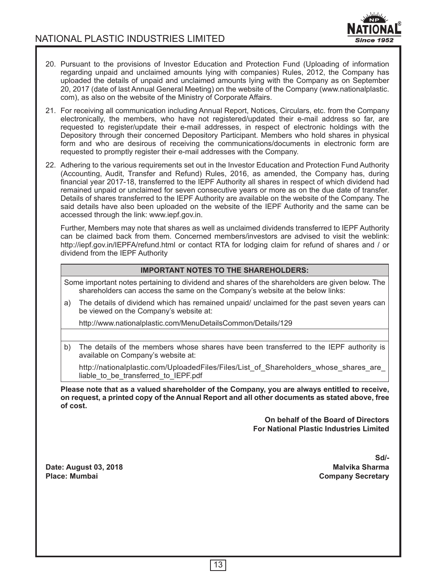

- 20. Pursuant to the provisions of Investor Education and Protection Fund (Uploading of information regarding unpaid and unclaimed amounts lying with companies) Rules, 2012, the Company has uploaded the details of unpaid and unclaimed amounts lying with the Company as on September 20, 2017 (date of last Annual General Meeting) on the website of the Company (www.nationalplastic. com), as also on the website of the Ministry of Corporate Affairs.
- 21. For receiving all communication including Annual Report, Notices, Circulars, etc. from the Company electronically, the members, who have not registered/updated their e-mail address so far, are requested to register/update their e-mail addresses, in respect of electronic holdings with the Depository through their concerned Depository Participant. Members who hold shares in physical form and who are desirous of receiving the communications/documents in electronic form are requested to promptly register their e-mail addresses with the Company.
- 22. Adhering to the various requirements set out in the Investor Education and Protection Fund Authority (Accounting, Audit, Transfer and Refund) Rules, 2016, as amended, the Company has, during financial year 2017-18, transferred to the IEPF Authority all shares in respect of which dividend had remained unpaid or unclaimed for seven consecutive years or more as on the due date of transfer. Details of shares transferred to the IEPF Authority are available on the website of the Company. The said details have also been uploaded on the website of the IEPF Authority and the same can be accessed through the link: www.iepf.gov.in.

Further, Members may note that shares as well as unclaimed dividends transferred to IEPF Authority can be claimed back from them. Concerned members/investors are advised to visit the weblink: http://iepf.gov.in/IEPFA/refund.html or contact RTA for lodging claim for refund of shares and / or dividend from the IEPF Authority

### **IMPORTANT NOTES TO THE SHAREHOLDERS:**

Some important notes pertaining to dividend and shares of the shareholders are given below. The shareholders can access the same on the Company's website at the below links:

a) The details of dividend which has remained unpaid/ unclaimed for the past seven years can be viewed on the Company's website at:

http://www.nationalplastic.com/MenuDetailsCommon/Details/129

b) The details of the members whose shares have been transferred to the IEPF authority is available on Company's website at:

http://nationalplastic.com/UploadedFiles/Files/List\_of\_Shareholders\_whose\_shares\_are\_ liable to be transferred to IEPF.pdf

**Please note that as a valued shareholder of the Company, you are always entitled to receive, on request, a printed copy of the Annual Report and all other documents as stated above, free of cost.**

> **On behalf of the Board of Directors For National Plastic Industries Limited**

**Date: August 03, 2018 Malvika Sharma**

**Sd/- Company Secretary**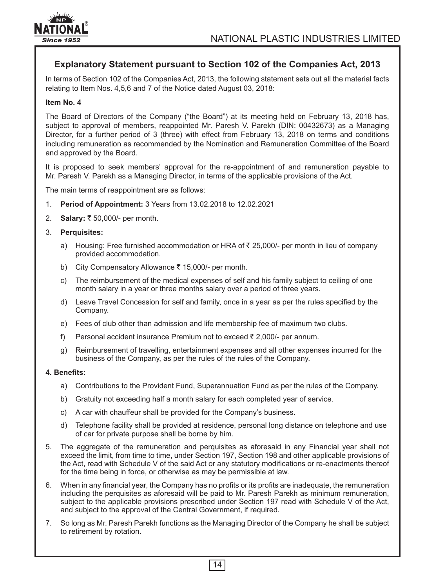

# **Explanatory Statement pursuant to Section 102 of the Companies Act, 2013**

In terms of Section 102 of the Companies Act, 2013, the following statement sets out all the material facts relating to Item Nos. 4,5,6 and 7 of the Notice dated August 03, 2018:

#### **Item No. 4**

The Board of Directors of the Company ("the Board") at its meeting held on February 13, 2018 has, subject to approval of members, reappointed Mr. Paresh V. Parekh (DIN: 00432673) as a Managing Director, for a further period of 3 (three) with effect from February 13, 2018 on terms and conditions including remuneration as recommended by the Nomination and Remuneration Committee of the Board and approved by the Board.

It is proposed to seek members' approval for the re-appointment of and remuneration payable to Mr. Paresh V. Parekh as a Managing Director, in terms of the applicable provisions of the Act.

The main terms of reappointment are as follows:

- 1. **Period of Appointment:** 3 Years from 13.02.2018 to 12.02.2021
- 2. **Salary:** ₹ 50,000/- per month.
- 3. **Perquisites:**
	- a) Housing: Free furnished accommodation or HRA of  $\bar{\tau}$  25,000/- per month in lieu of company provided accommodation.
	- b) City Compensatory Allowance  $\bar{\tau}$  15,000/- per month.
	- c) The reimbursement of the medical expenses of self and his family subject to ceiling of one month salary in a year or three months salary over a period of three years.
	- d) Leave Travel Concession for self and family, once in a year as per the rules specified by the Company.
	- e) Fees of club other than admission and life membership fee of maximum two clubs.
	- f) Personal accident insurance Premium not to exceed  $\bar{\tau}$  2,000/- per annum.
	- g) Reimbursement of travelling, entertainment expenses and all other expenses incurred for the business of the Company, as per the rules of the rules of the Company.

#### **4. Benefits:**

- a) Contributions to the Provident Fund, Superannuation Fund as per the rules of the Company.
- b) Gratuity not exceeding half a month salary for each completed year of service.
- c) A car with chauffeur shall be provided for the Company's business.
- d) Telephone facility shall be provided at residence, personal long distance on telephone and use of car for private purpose shall be borne by him.
- 5. The aggregate of the remuneration and perquisites as aforesaid in any Financial year shall not exceed the limit, from time to time, under Section 197, Section 198 and other applicable provisions of the Act, read with Schedule V of the said Act or any statutory modifications or re-enactments thereof for the time being in force, or otherwise as may be permissible at law.
- 6. When in any financial year, the Company has no profits or its profits are inadequate, the remuneration including the perquisites as aforesaid will be paid to Mr. Paresh Parekh as minimum remuneration, subject to the applicable provisions prescribed under Section 197 read with Schedule V of the Act, and subject to the approval of the Central Government, if required.
- 7. So long as Mr. Paresh Parekh functions as the Managing Director of the Company he shall be subject to retirement by rotation.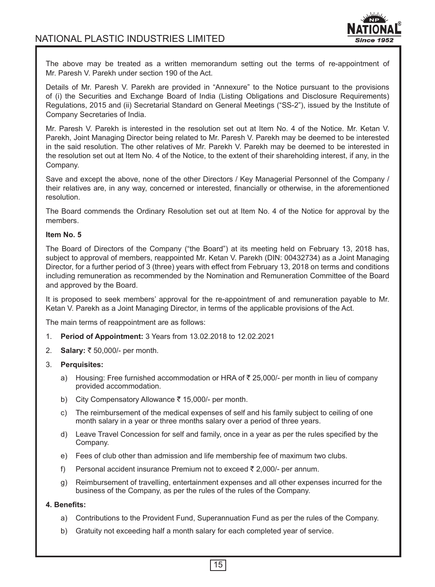

The above may be treated as a written memorandum setting out the terms of re-appointment of Mr. Paresh V. Parekh under section 190 of the Act.

Details of Mr. Paresh V. Parekh are provided in "Annexure" to the Notice pursuant to the provisions of (i) the Securities and Exchange Board of India (Listing Obligations and Disclosure Requirements) Regulations, 2015 and (ii) Secretarial Standard on General Meetings ("SS-2"), issued by the Institute of Company Secretaries of India.

Mr. Paresh V. Parekh is interested in the resolution set out at Item No. 4 of the Notice. Mr. Ketan V. Parekh, Joint Managing Director being related to Mr. Paresh V. Parekh may be deemed to be interested in the said resolution. The other relatives of Mr. Parekh V. Parekh may be deemed to be interested in the resolution set out at Item No. 4 of the Notice, to the extent of their shareholding interest, if any, in the Company.

Save and except the above, none of the other Directors / Key Managerial Personnel of the Company / their relatives are, in any way, concerned or interested, financially or otherwise, in the aforementioned resolution.

The Board commends the Ordinary Resolution set out at Item No. 4 of the Notice for approval by the members.

#### **Item No. 5**

The Board of Directors of the Company ("the Board") at its meeting held on February 13, 2018 has, subject to approval of members, reappointed Mr. Ketan V. Parekh (DIN: 00432734) as a Joint Managing Director, for a further period of 3 (three) years with effect from February 13, 2018 on terms and conditions including remuneration as recommended by the Nomination and Remuneration Committee of the Board and approved by the Board.

It is proposed to seek members' approval for the re-appointment of and remuneration payable to Mr. Ketan V. Parekh as a Joint Managing Director, in terms of the applicable provisions of the Act.

The main terms of reappointment are as follows:

- 1. **Period of Appointment:** 3 Years from 13.02.2018 to 12.02.2021
- 2. **Salary:** ` 50,000/- per month.
- 3. **Perquisites:**
	- a) Housing: Free furnished accommodation or HRA of  $\bar{\tau}$  25,000/- per month in lieu of company provided accommodation.
	- b) City Compensatory Allowance  $\bar{\tau}$  15,000/- per month.
	- c) The reimbursement of the medical expenses of self and his family subject to ceiling of one month salary in a year or three months salary over a period of three years.
	- d) Leave Travel Concession for self and family, once in a year as per the rules specified by the Company.
	- e) Fees of club other than admission and life membership fee of maximum two clubs.
	- f) Personal accident insurance Premium not to exceed  $\bar{\tau}$  2,000/- per annum.
	- g) Reimbursement of travelling, entertainment expenses and all other expenses incurred for the business of the Company, as per the rules of the rules of the Company.

#### **4. Benefits:**

- a) Contributions to the Provident Fund, Superannuation Fund as per the rules of the Company.
- b) Gratuity not exceeding half a month salary for each completed year of service.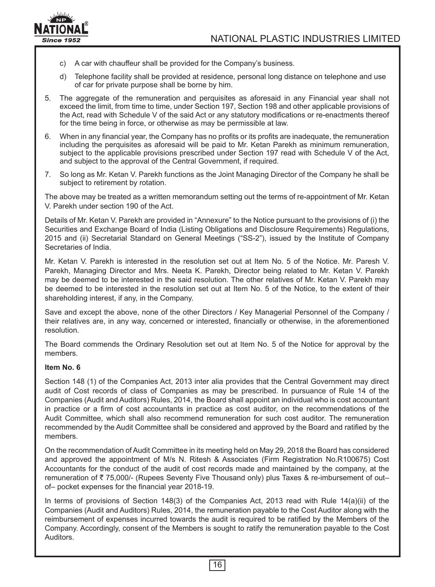

- c) A car with chauffeur shall be provided for the Company's business.
- d) Telephone facility shall be provided at residence, personal long distance on telephone and use of car for private purpose shall be borne by him.
- 5. The aggregate of the remuneration and perquisites as aforesaid in any Financial year shall not exceed the limit, from time to time, under Section 197, Section 198 and other applicable provisions of the Act, read with Schedule V of the said Act or any statutory modifications or re-enactments thereof for the time being in force, or otherwise as may be permissible at law.
- 6. When in any financial year, the Company has no profits or its profits are inadequate, the remuneration including the perquisites as aforesaid will be paid to Mr. Ketan Parekh as minimum remuneration, subject to the applicable provisions prescribed under Section 197 read with Schedule V of the Act, and subject to the approval of the Central Government, if required.
- 7. So long as Mr. Ketan V. Parekh functions as the Joint Managing Director of the Company he shall be subject to retirement by rotation.

The above may be treated as a written memorandum setting out the terms of re-appointment of Mr. Ketan V. Parekh under section 190 of the Act.

Details of Mr. Ketan V. Parekh are provided in "Annexure" to the Notice pursuant to the provisions of (i) the Securities and Exchange Board of India (Listing Obligations and Disclosure Requirements) Regulations, 2015 and (ii) Secretarial Standard on General Meetings ("SS-2"), issued by the Institute of Company Secretaries of India.

Mr. Ketan V. Parekh is interested in the resolution set out at Item No. 5 of the Notice. Mr. Paresh V. Parekh, Managing Director and Mrs. Neeta K. Parekh, Director being related to Mr. Ketan V. Parekh may be deemed to be interested in the said resolution. The other relatives of Mr. Ketan V. Parekh may be deemed to be interested in the resolution set out at Item No. 5 of the Notice, to the extent of their shareholding interest, if any, in the Company.

Save and except the above, none of the other Directors / Key Managerial Personnel of the Company / their relatives are, in any way, concerned or interested, financially or otherwise, in the aforementioned resolution.

The Board commends the Ordinary Resolution set out at Item No. 5 of the Notice for approval by the members.

#### **Item No. 6**

Section 148 (1) of the Companies Act, 2013 inter alia provides that the Central Government may direct audit of Cost records of class of Companies as may be prescribed. In pursuance of Rule 14 of the Companies (Audit and Auditors) Rules, 2014, the Board shall appoint an individual who is cost accountant in practice or a firm of cost accountants in practice as cost auditor, on the recommendations of the Audit Committee, which shall also recommend remuneration for such cost auditor. The remuneration recommended by the Audit Committee shall be considered and approved by the Board and ratified by the members.

On the recommendation of Audit Committee in its meeting held on May 29, 2018 the Board has considered and approved the appointment of M/s N. Ritesh & Associates (Firm Registration No.R100675) Cost Accountants for the conduct of the audit of cost records made and maintained by the company, at the remuneration of  $\bar{z}$  75,000/- (Rupees Seventy Five Thousand only) plus Taxes & re-imbursement of out– of– pocket expenses for the financial year 2018-19.

In terms of provisions of Section 148(3) of the Companies Act, 2013 read with Rule 14(a)(ii) of the Companies (Audit and Auditors) Rules, 2014, the remuneration payable to the Cost Auditor along with the reimbursement of expenses incurred towards the audit is required to be ratified by the Members of the Company. Accordingly, consent of the Members is sought to ratify the remuneration payable to the Cost Auditors.